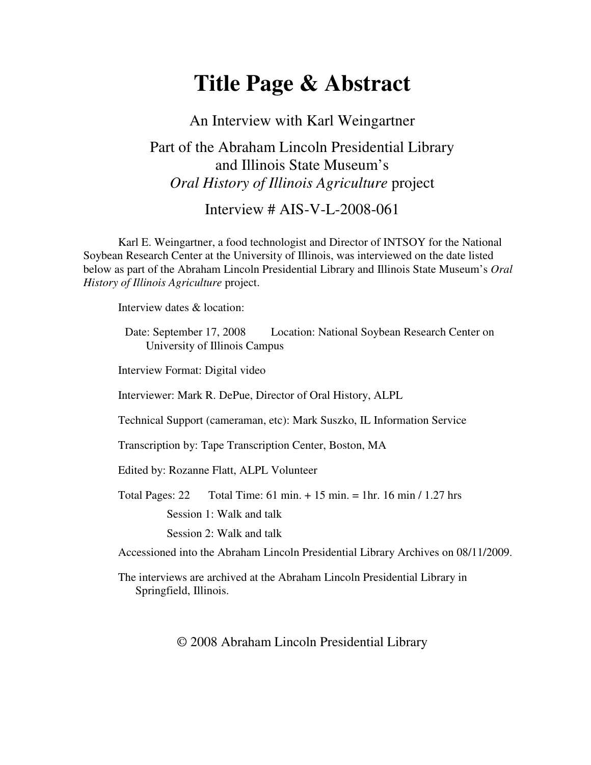# **Title Page & Abstract**

An Interview with Karl Weingartner Part of the Abraham Lincoln Presidential Library and Illinois State Museum's *Oral History of Illinois Agriculture* project

#### Interview # AIS-V-L-2008-061

Karl E. Weingartner, a food technologist and Director of INTSOY for the National Soybean Research Center at the University of Illinois, was interviewed on the date listed below as part of the Abraham Lincoln Presidential Library and Illinois State Museum's *Oral History of Illinois Agriculture* project.

Interview dates & location:

Date: September 17, 2008 Location: National Soybean Research Center on University of Illinois Campus

Interview Format: Digital video

Interviewer: Mark R. DePue, Director of Oral History, ALPL

Technical Support (cameraman, etc): Mark Suszko, IL Information Service

Transcription by: Tape Transcription Center, Boston, MA

Edited by: Rozanne Flatt, ALPL Volunteer

Total Pages:  $22$  Total Time:  $61 \text{ min.} + 15 \text{ min.} = 1 \text{ hr.}$  16 min / 1.27 hrs

Session 1: Walk and talk

Session 2: Walk and talk

Accessioned into the Abraham Lincoln Presidential Library Archives on 08/11/2009.

The interviews are archived at the Abraham Lincoln Presidential Library in Springfield, Illinois.

© 2008 Abraham Lincoln Presidential Library